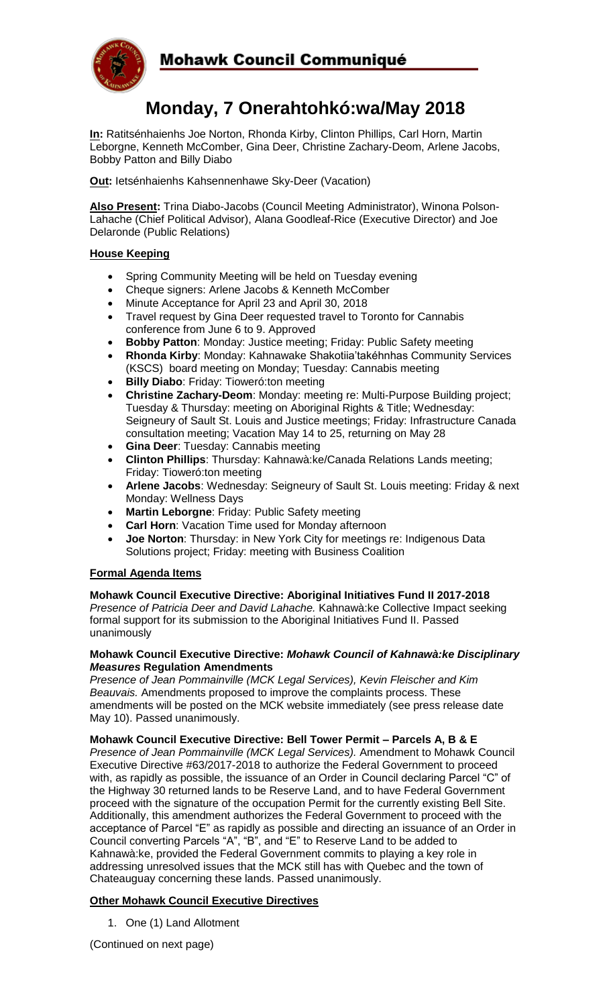

## Mohawk Council Communiqué

# **Monday, 7 Onerahtohkó:wa/May 2018**

**In:** Ratitsénhaienhs Joe Norton, Rhonda Kirby, Clinton Phillips, Carl Horn, Martin Leborgne, Kenneth McComber, Gina Deer, Christine Zachary-Deom, Arlene Jacobs, Bobby Patton and Billy Diabo

**Out:** Ietsénhaienhs Kahsennenhawe Sky-Deer (Vacation)

**Also Present:** Trina Diabo-Jacobs (Council Meeting Administrator), Winona Polson-Lahache (Chief Political Advisor), Alana Goodleaf-Rice (Executive Director) and Joe Delaronde (Public Relations)

### **House Keeping**

- Spring Community Meeting will be held on Tuesday evening
- Cheque signers: Arlene Jacobs & Kenneth McComber
- Minute Acceptance for April 23 and April 30, 2018
- Travel request by Gina Deer requested travel to Toronto for Cannabis conference from June 6 to 9. Approved
- **Bobby Patton**: Monday: Justice meeting; Friday: Public Safety meeting
- **Rhonda Kirby**: Monday: Kahnawake Shakotiia'takéhnhas Community Services (KSCS) board meeting on Monday; Tuesday: Cannabis meeting
- **Billy Diabo**: Friday: Tioweró:ton meeting
- **Christine Zachary-Deom**: Monday: meeting re: Multi-Purpose Building project; Tuesday & Thursday: meeting on Aboriginal Rights & Title; Wednesday: Seigneury of Sault St. Louis and Justice meetings; Friday: Infrastructure Canada consultation meeting; Vacation May 14 to 25, returning on May 28
- **Gina Deer**: Tuesday: Cannabis meeting
- **Clinton Phillips**: Thursday: Kahnawà:ke/Canada Relations Lands meeting; Friday: Tioweró:ton meeting
- **Arlene Jacobs**: Wednesday: Seigneury of Sault St. Louis meeting: Friday & next Monday: Wellness Days
- **Martin Leborgne**: Friday: Public Safety meeting
- **Carl Horn**: Vacation Time used for Monday afternoon
- **Joe Norton**: Thursday: in New York City for meetings re: Indigenous Data Solutions project; Friday: meeting with Business Coalition

#### **Formal Agenda Items**

**Mohawk Council Executive Directive: Aboriginal Initiatives Fund II 2017-2018** *Presence of Patricia Deer and David Lahache.* Kahnawà:ke Collective Impact seeking formal support for its submission to the Aboriginal Initiatives Fund II. Passed unanimously

#### **Mohawk Council Executive Directive:** *Mohawk Council of Kahnawà:ke Disciplinary Measures* **Regulation Amendments**

*Presence of Jean Pommainville (MCK Legal Services), Kevin Fleischer and Kim Beauvais.* Amendments proposed to improve the complaints process. These amendments will be posted on the MCK website immediately (see press release date May 10). Passed unanimously.

**Mohawk Council Executive Directive: Bell Tower Permit – Parcels A, B & E** *Presence of Jean Pommainville (MCK Legal Services).* Amendment to Mohawk Council Executive Directive #63/2017-2018 to authorize the Federal Government to proceed with, as rapidly as possible, the issuance of an Order in Council declaring Parcel "C" of the Highway 30 returned lands to be Reserve Land, and to have Federal Government proceed with the signature of the occupation Permit for the currently existing Bell Site. Additionally, this amendment authorizes the Federal Government to proceed with the acceptance of Parcel "E" as rapidly as possible and directing an issuance of an Order in Council converting Parcels "A", "B", and "E" to Reserve Land to be added to Kahnawà:ke, provided the Federal Government commits to playing a key role in addressing unresolved issues that the MCK still has with Quebec and the town of Chateauguay concerning these lands. Passed unanimously.

## **Other Mohawk Council Executive Directives**

1. One (1) Land Allotment

(Continued on next page)